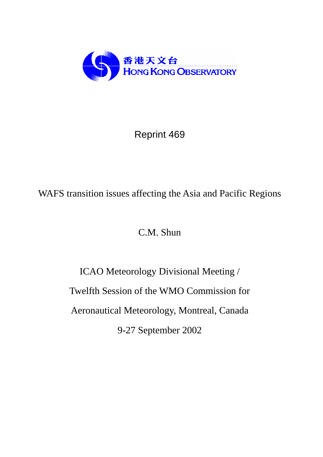

# Reprint 469

## WAFS transition issues affecting the Asia and Pacific Regions

C.M. Shun

ICAO Meteorology Divisional Meeting / Twelfth Session of the WMO Commission for Aeronautical Meteorology, Montreal, Canada 9-27 September 2002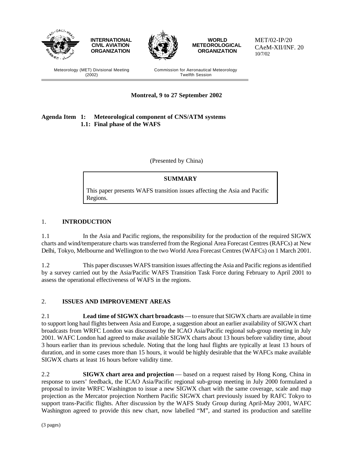

MET/02-IP/20 CAeM-XII/INF. 20 10/7/02

Meteorology (MET) Divisional Meeting (2002)

Commission for Aeronautical Meteorology Twelfth Session

**Montreal, 9 to 27 September 2002**

#### **Agenda Item 1: Meteorological component of CNS/ATM systems 1.1: Final phase of the WAFS**

(Presented by China)

### **SUMMARY**

This paper presents WAFS transition issues affecting the Asia and Pacific Regions.

#### 1. **INTRODUCTION**

1.1 In the Asia and Pacific regions, the responsibility for the production of the required SIGWX charts and wind/temperature charts was transferred from the Regional Area Forecast Centres (RAFCs) at New Delhi, Tokyo, Melbourne and Wellington to the two World Area Forecast Centres (WAFCs) on 1 March 2001.

1.2 This paper discusses WAFS transition issues affecting the Asia and Pacific regions as identified by a survey carried out by the Asia/Pacific WAFS Transition Task Force during February to April 2001 to assess the operational effectiveness of WAFS in the regions.

#### 2. **ISSUES AND IMPROVEMENT AREAS**

2.1 **Lead time of SIGWX chart broadcasts** — to ensure that SIGWX charts are available in time to support long haul flights between Asia and Europe, a suggestion about an earlier availability of SIGWX chart broadcasts from WRFC London was discussed by the ICAO Asia/Pacific regional sub-group meeting in July 2001. WAFC London had agreed to make available SIGWX charts about 13 hours before validity time, about 3 hours earlier than its previous schedule. Noting that the long haul flights are typically at least 13 hours of duration, and in some cases more than 15 hours, it would be highly desirable that the WAFCs make available SIGWX charts at least 16 hours before validity time.

2.2 **SIGWX chart area and projection** — based on a request raised by Hong Kong, China in response to users' feedback, the ICAO Asia/Pacific regional sub-group meeting in July 2000 formulated a proposal to invite WRFC Washington to issue a new SIGWX chart with the same coverage, scale and map projection as the Mercator projection Northern Pacific SIGWX chart previously issued by RAFC Tokyo to support trans-Pacific flights. After discussion by the WAFS Study Group during April-May 2001, WAFC Washington agreed to provide this new chart, now labelled "M", and started its production and satellite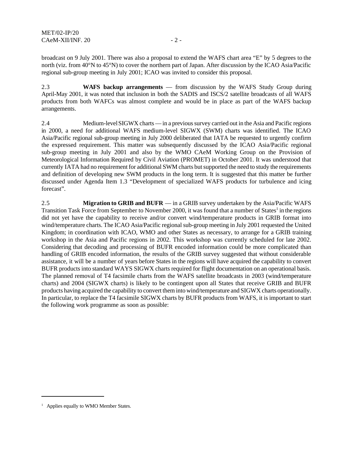broadcast on 9 July 2001. There was also a proposal to extend the WAFS chart area "E" by 5 degrees to the north (viz. from 40°N to 45°N) to cover the northern part of Japan. After discussion by the ICAO Asia/Pacific regional sub-group meeting in July 2001; ICAO was invited to consider this proposal.

2.3 **WAFS backup arrangements** — from discussion by the WAFS Study Group during April-May 2001, it was noted that inclusion in both the SADIS and ISCS/2 satellite broadcasts of all WAFS products from both WAFCs was almost complete and would be in place as part of the WAFS backup arrangements.

2.4 Medium-level SIGWX charts — in a previous survey carried out in the Asia and Pacific regions in 2000, a need for additional WAFS medium-level SIGWX (SWM) charts was identified. The ICAO Asia/Pacific regional sub-group meeting in July 2000 deliberated that IATA be requested to urgently confirm the expressed requirement. This matter was subsequently discussed by the ICAO Asia/Pacific regional sub-group meeting in July 2001 and also by the WMO CAeM Working Group on the Provision of Meteorological Information Required by Civil Aviation (PROMET) in October 2001. It was understood that currently IATA had no requirement for additional SWM charts but supported the need to study the requirements and definition of developing new SWM products in the long term. It is suggested that this matter be further discussed under Agenda Item 1.3 "Development of specialized WAFS products for turbulence and icing forecast".

2.5 **Migration to GRIB and BUFR** — in a GRIB survey undertaken by the Asia/Pacific WAFS Transition Task Force from September to November 2000, it was found that a number of States<sup>1</sup> in the regions did not yet have the capability to receive and/or convert wind/temperature products in GRIB format into wind/temperature charts. The ICAO Asia/Pacific regional sub-group meeting in July 2001 requested the United Kingdom; in coordination with ICAO, WMO and other States as necessary, to arrange for a GRIB training workshop in the Asia and Pacific regions in 2002. This workshop was currently scheduled for late 2002. Considering that decoding and processing of BUFR encoded information could be more complicated than handling of GRIB encoded information, the results of the GRIB survey suggested that without considerable assistance, it will be a number of years before States in the regions will have acquired the capability to convert BUFR products into standard WAYS SIGWX charts required for flight documentation on an operational basis. The planned removal of T4 facsimile charts from the WAFS satellite broadcasts in 2003 (wind/temperature charts) and 2004 (SIGWX charts) is likely to be contingent upon all States that receive GRIB and BUFR products having acquired the capability to convert them into wind/temperature and SIGWX charts operationally. In particular, to replace the T4 facsimile SIGWX charts by BUFR products from WAFS, it is important to start the following work programme as soon as possible:

<sup>&</sup>lt;sup>1</sup> Applies equally to WMO Member States.